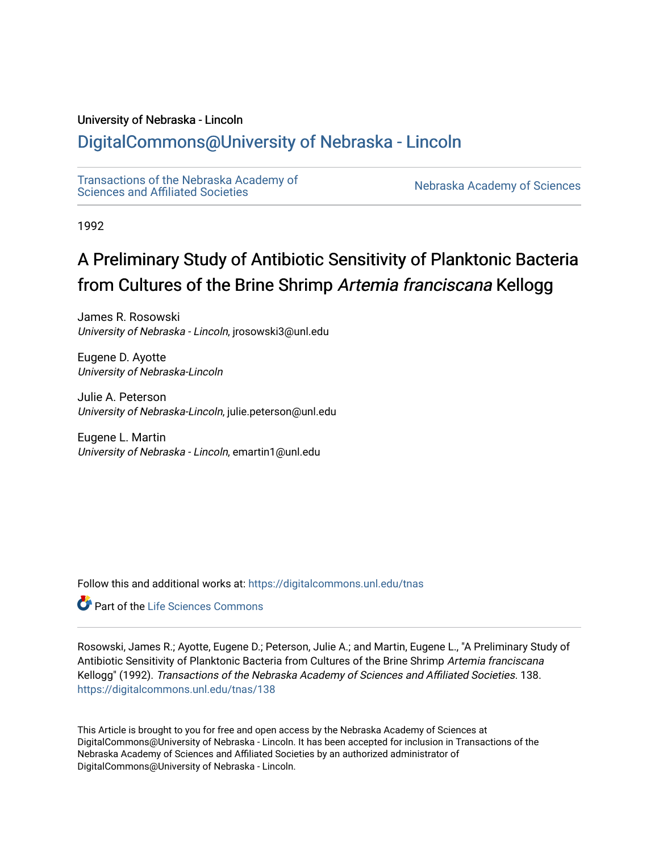## University of Nebraska - Lincoln

## [DigitalCommons@University of Nebraska - Lincoln](https://digitalcommons.unl.edu/)

[Transactions of the Nebraska Academy of](https://digitalcommons.unl.edu/tnas)  Transactions of the Nebraska Academy of Sciences<br>Sciences and Affiliated Societies

1992

## A Preliminary Study of Antibiotic Sensitivity of Planktonic Bacteria from Cultures of the Brine Shrimp Artemia franciscana Kellogg

James R. Rosowski University of Nebraska - Lincoln, jrosowski3@unl.edu

Eugene D. Ayotte University of Nebraska-Lincoln

Julie A. Peterson University of Nebraska-Lincoln, julie.peterson@unl.edu

Eugene L. Martin University of Nebraska - Lincoln, emartin1@unl.edu

Follow this and additional works at: [https://digitalcommons.unl.edu/tnas](https://digitalcommons.unl.edu/tnas?utm_source=digitalcommons.unl.edu%2Ftnas%2F138&utm_medium=PDF&utm_campaign=PDFCoverPages) 

**C** Part of the Life Sciences Commons

Rosowski, James R.; Ayotte, Eugene D.; Peterson, Julie A.; and Martin, Eugene L., "A Preliminary Study of Antibiotic Sensitivity of Planktonic Bacteria from Cultures of the Brine Shrimp Artemia franciscana Kellogg" (1992). Transactions of the Nebraska Academy of Sciences and Affiliated Societies. 138. [https://digitalcommons.unl.edu/tnas/138](https://digitalcommons.unl.edu/tnas/138?utm_source=digitalcommons.unl.edu%2Ftnas%2F138&utm_medium=PDF&utm_campaign=PDFCoverPages) 

This Article is brought to you for free and open access by the Nebraska Academy of Sciences at DigitalCommons@University of Nebraska - Lincoln. It has been accepted for inclusion in Transactions of the Nebraska Academy of Sciences and Affiliated Societies by an authorized administrator of DigitalCommons@University of Nebraska - Lincoln.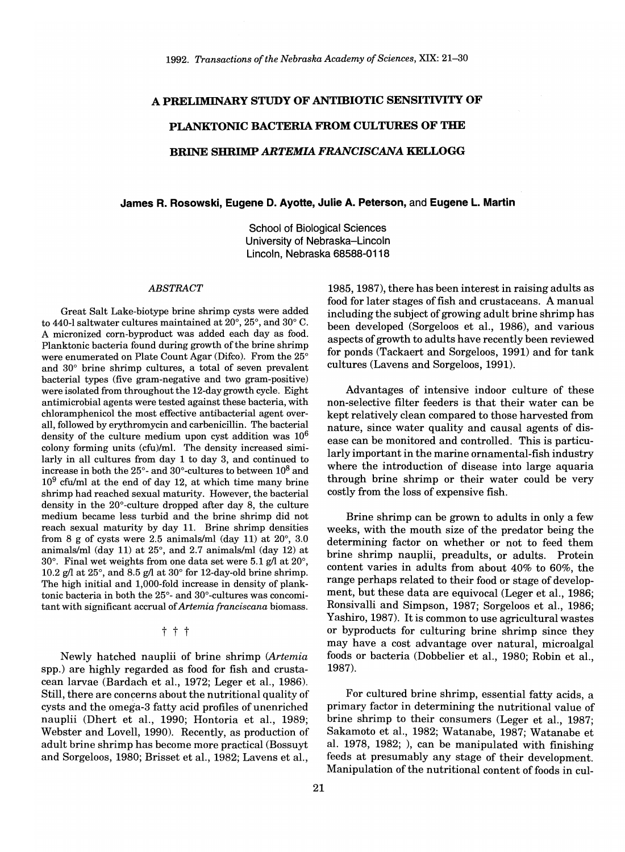# A PRELIMINARY STUDY OF ANTIBIOTIC SENSITIVITY OF **PLANKTONIC BACTERIA FROM CULTURES OF TIlE BRINE SIffiIMP** *ARTEMIA FRANCISCAN A* **KELLOGG**

## **James R. Rosowski, Eugene D. Ayotte, Julie A. Peterson,** and **Eugene L. Martin**

School of Biological Sciences University of Nebraska-Lincoln Lincoln, Nebraska 68588-0118

#### *ABSTRACT*

Great Salt Lake-biotype brine shrimp cysts were added to 440-1 saltwater cultures maintained at  $20^{\circ}$ ,  $25^{\circ}$ , and  $30^{\circ}$  C. A micronized corn-byproduct was added each day as food. Planktonic bacteria found during growth of the brine shrimp were enumerated on Plate Count Agar (Difco). From the 25° and  $30^{\circ}$  brine shrimp cultures, a total of seven prevalent bacterial types (five gram-negative and two gram-positive) were isolated from throughout the 12-day growth cycle. Eight antimicrobial agents were tested against these bacteria, with chloramphenicol the most effective antibacterial agent overall, followed by erythromycin and carbenicillin. The bacterial density of the culture medium upon cyst addition was 106 colony forming units *(cfu)/ml.* The density increased similarly in all cultures from day 1 to day 3, and continued to increase in both the  $25^{\circ}$ - and  $30^{\circ}$ -cultures to between  $10^8$  and  $10<sup>9</sup>$  cfu/ml at the end of day 12, at which time many brine shrimp had reached sexual maturity. However, the bacterial density in the  $20^{\circ}$ -culture dropped after day 8, the culture medium became less turbid and the brine shrimp did not reach sexual maturity by day 11. Brine shrimp densities from 8 g of cysts were 2.5 animals/ml (day 11) at  $20^{\circ}$ , 3.0 animals/ml (day 11) at  $25^{\circ}$ , and  $2.7$  animals/ml (day 12) at 30 $^{\circ}$ . Final wet weights from one data set were 5.1 g/l at 20 $^{\circ}$ , 10.2 g/l at  $25^{\circ}$ , and  $8.5$  g/l at  $30^{\circ}$  for 12-day-old brine shrimp. The high initial and 1,000-fold increase in density of planktonic bacteria in both the  $25^{\circ}$ - and  $30^{\circ}$ -cultures was concomitant with significant accrual of Artemia franciscana biomass.

### t t t

Newly hatched nauplii of brine shrimp *(Artemia*  spp.) are highly regarded as food for fish and crustacean larvae (Bardach et aI., 1972; Leger et aI., 1986). Still, there are concerns about the nutritional quality of cysts and the omega-3 fatty acid profiles of unenriched nauplii (Dhert et aI., 1990; Hontoria et aI., 1989; Webster and Lovell, 1990). Recently, as production of adult brine shrimp has become more practical (Bossuyt and Sorgeloos, 1980; Brisset et aI., 1982; Lavens et aI.,

1985, 1987), there has been interest in raising adults as food for later stages of fish and crustaceans. A manual including the subject of growing adult brine shrimp has been developed (Sorgeloos et aI., 1986), and various aspects of growth to adults have recently been reviewed for ponds (Tackaert and Sorgeloos, 1991) and for tank cultures (Lavens and Sorgeloos, 1991).

Advantages of intensive indoor culture of these non-selective filter feeders is that their water can be kept relatively clean compared to those harvested from nature, since water quality and causal agents of disease can be monitored and controlled. This is particularly important in the marine ornamental-fish industry where the introduction of disease into large aquaria through brine shrimp or their water could be very costly from the loss of expensive fish.

Brine shrimp can be grown to adults in only a few weeks, with the mouth size of the predator being the determining factor on whether or not to feed them brine shrimp nauplii, preadults, or adults. Protein content varies in adults from about 40% to 60%, the range perhaps related to their food or stage of development, but these data are equivocal (Leger et aI., 1986; Ronsivalli and Simpson, 1987; Sorgeloos et aI., 1986; Yashiro,1987). It is common to use agricultural wastes or byproducts for culturing brine shrimp since they may have a cost advantage over natural, microalgal foods or bacteria (Dobbelier et aI., 1980; Robin et aI., 1987).

For cultured brine shrimp, essential fatty acids, a primary factor in determining the nutritional value of brine shrimp to their consumers (Leger et aI., 1987; Sakamoto et aI., 1982; Watanabe, 1987; Watanabe et al. 1978, 1982; ), can be manipulated with finishing feeds at presumably any stage of their development. Manipulation of the nutritional content of foods in cul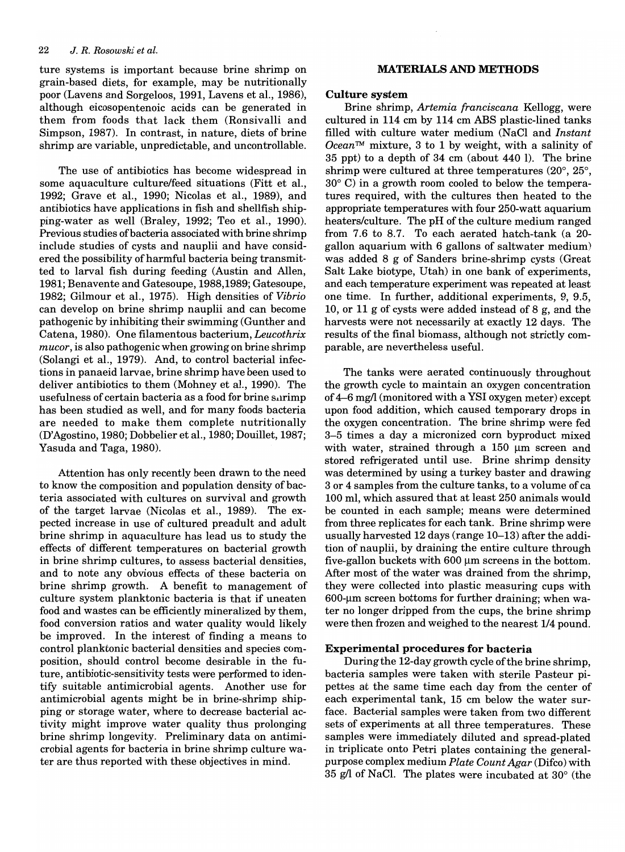ture systems is important because brine shrimp on grain-based diets, for example, may be nutritionally poor (Lavens and Sorgeloos, 1991, Lavens et aI., 1986), although eicosopentenoic acids can be generated in them from foods that lack them (Ronsivalli and Simpson, 1987). In contrast, in nature, diets of brine shrimp are variable, unpredictable, and uncontrollable.

The use of antibiotics has become widespread in some aquaculture culture/feed situations (Fitt et aI., 1992; Grave et aI., 1990; Nicolas et aI., 1989), and antibiotics have applications in fish and shellfish shipping-water as well (Braley, 1992; Teo et aI., 1990). Previous studies of bacteria associated with brine shrimp include studies of cysts and nauplii and have considered the possibility of harmful bacteria being transmitted to larval fish during feeding (Austin and Allen, 1981; Benavente and Gatesoupe, 1988,1989; Gatesoupe, 1982; Gilmour et aI., 1975). High densities of *Vibrio*  can develop on brine shrimp nauplii and can become pathogenic by inhibiting their swimming (Gunther and Catena, 1980). One filamentous bacterium, *Leucothrix mucor,* is also pathogenic when growing on brine shrimp (Solangi et aI., 1979). And, to control bacterial infections in panaeid larvae, brine shrimp have been used to deliver antibiotics to them (Mohney et aI., 1990). The usefulness of certain bacteria as a food for brine surimp has been studied as well, and for many foods bacteria are needed to make them complete nutritionally (D'Agostino, 1980; Dobbelier et aI., 1980; Douillet, 1987; Yasuda and Taga, 1980).

Attention has only recently been drawn to the need to know the composition and population density of bacteria associated with cultures on survival and growth of the target larvae (Nicolas et aI., 1989). The expected increase in use of cultured preadult and adult brine shrimp in aquaculture has lead us to study the effects of different temperatures on bacterial growth in brine shrimp cultures, to assess bacterial densities, and to note any obvious effects of these bacteria on brine shrimp growth. A benefit to management of culture system planktonic bacteria is that if uneaten food and wastes can be efficiently mineralized by them, food conversion ratios and water quality would likely be improved. In the interest of finding a means to control planktonic bacterial densities and species composition, should control become desirable in the future, antibiotic-sensitivity tests were performed to identify suitable antimicrobial agents. Another use for antimicrobial agents might be in brine-shrimp shipping or storage water, where to decrease bacterial activity might improve water quality thus prolonging brine shrimp longevity. Preliminary data on antimicrobial agents for bacteria in brine shrimp culture water are thus reported with these objectives in mind.

## **MATERIALS AND METHODS**

## **Culture** system

Brine shrimp, *Artemia franciscana* Kellogg, were cultured in 114 cm by 114 cm ABS plastic-lined tanks filled with culture water medium (NaCl and *Instant Ocean™* mixture, 3 to 1 by weight, with a salinity of 35 ppt) to a depth of 34 cm (about 440 I). The brine shrimp were cultured at three temperatures (20°, 25°, 30° C) in a growth room cooled to below the temperatures required, with the cultures then heated to the appropriate temperatures with four 250-watt aquarium heaters/culture. The pH of the culture medium ranged from 7.6 to 8.7. To each aerated hatch-tank (a 20 gallon aquarium with 6 gallons of saltwater medium) was added 8 g of Sanders brine-shrimp cysts (Great Salt Lake biotype, Utah) in one bank of experiments, and each temperature experiment was repeated at least one time. In further, additional experiments, 9, 9.5, 10, or 11 g of cysts were added instead of 8 g, and the harvests were not necessarily at exactly 12 days. The results of the final biomass, although not strictly comparable, are nevertheless useful.

The tanks were aerated continuously throughout the growth cycle to maintain an oxygen concentration of 4-6 mgll (monitored with a YSI oxygen meter) except upon food addition, which caused temporary drops in the oxygen concentration. The brine shrimp were fed 3-5 times a day a micronized corn byproduct mixed with water, strained through a  $150 ~\mu m$  screen and stored refrigerated until use. Brine shrimp density was determined by using a turkey baster and drawing 3 or 4 samples from the culture tanks, to a volume of ca 100 ml, which assured that at least 250 animals would be counted in each sample; means were determined from three replicates for each tank. Brine shrimp were usually harvested 12 days (range 10-13) after the addition of nauplii, by draining the entire culture through five-gallon buckets with  $600 \mu m$  screens in the bottom. After most of the water was drained from the shrimp, they were collected into plastic measuring cups with  $600$ -µm screen bottoms for further draining; when water no longer dripped from the cups, the brine shrimp were then frozen and weighed to the nearest 1/4 pound.

## **Experimental procedures for bacteria**

During the 12-day growth cycle of the brine shrimp, bacteria samples were taken with sterile Pasteur pipettes at the same time each day from the center of each experimental tank, 15 cm below the water surface. Bacterial samples were taken from two different sets of experiments at all three temperatures. These samples were immediately diluted and spread-plated in triplicate onto Petri plates containing the generalpurpose complex medium *Plate Count Agar* (Difco) with 35 g/l of NaCl. The plates were incubated at  $30^{\circ}$  (the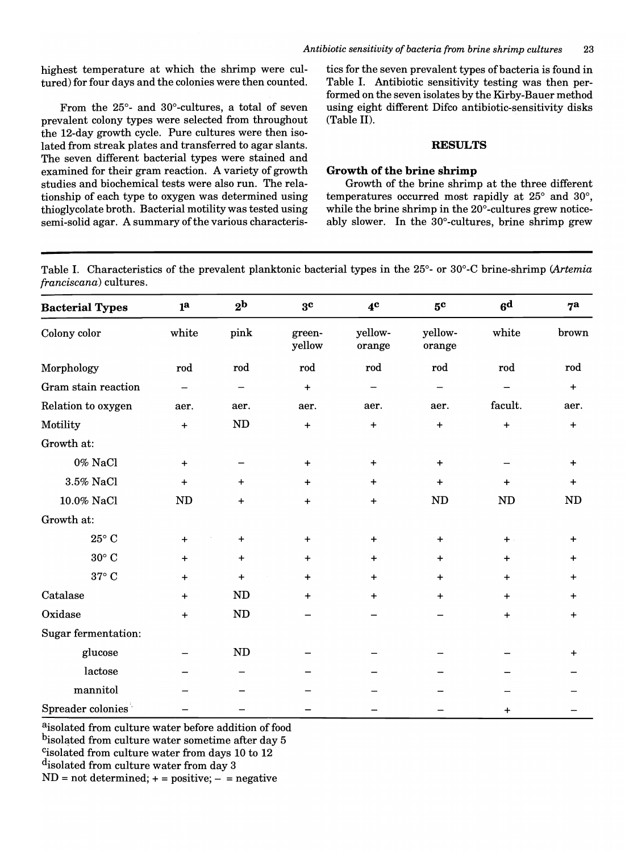highest temperature at which the shrimp were cultured) for four days and the colonies were then counted.

From the 25°- and 30°-cultures, a total of seven prevalent colony types were selected from throughout the 12-day growth cycle. Pure cultures were then isolated from streak plates and transferred to agar slants. The seven different bacterial types were stained and examined for their gram reaction. A variety of growth studies and biochemical tests were also run. The relationship of each type to oxygen was determined using thioglycolate broth. Bacterial motility was tested using semi-solid agar. A summary of the various characteristics for the seven prevalent types of bacteria is found in Table I. Antibiotic sensitivity testing was then performed on the seven isolates by the Kirby-Bauer method using eight different Difco antibiotic-sensitivity disks (Table II).

## **RESULTS**

## Growth of the brine shrimp

Growth of the brine shrimp at the three different temperatures occurred most rapidly at 25° and 30°, while the brine shrimp in the 20°-cultures grew noticeably slower. In the 30°-cultures, brine shrimp grew

Table I. Characteristics of the prevalent planktonic bacterial types in the 25°- or 300 -C brine-shrimp *(Artemia franciscana)* cultures.

| <b>Bacterial Types</b>     | 1 <sup>a</sup> | 2 <sup>b</sup> | 3 <sup>c</sup>   | 4 <sup>c</sup>    | 5 <sup>c</sup>    | 6 <sup>d</sup> | 7 <sup>a</sup> |
|----------------------------|----------------|----------------|------------------|-------------------|-------------------|----------------|----------------|
| Colony color               | white          | pink           | green-<br>yellow | yellow-<br>orange | yellow-<br>orange | white          | brown          |
| Morphology                 | rod            | rod            | rod              | rod               | rod               | rod            | rod            |
| Gram stain reaction        |                | —              | $\ddot{}$        |                   |                   |                | $\ddot{}$      |
| Relation to oxygen         | aer.           | aer.           | aer.             | aer.              | aer.              | facult.        | aer.           |
| Motility                   | $+$            | $\mathbf{ND}$  | $\ddot{}$        | $\ddot{}$         | $\ddot{}$         | $+$            | $\ddot{}$      |
| Growth at:                 |                |                |                  |                   |                   |                |                |
| 0% NaCl                    | $+$            |                | $\div$           | $+$               | $\ddot{}$         |                | +              |
| 3.5% NaCl                  | $+$            | $+$            | $\ddot{}$        | $\ddot{}$         | $+$               | $+$            | $\ddot{}$      |
| 10.0% NaCl                 | <b>ND</b>      | $+$            | $\ddot{}$        | $+$               | ND                | ND             | ND             |
| Growth at:                 |                |                |                  |                   |                   |                |                |
| $25^{\circ}$ C             | $+$            | $+$            | $+$              | $+$               | $\ddot{}$         | $+$ .          | $\ddot{}$      |
| $30^{\circ}$ C             | $+$            | $+$            | $\ddot{}$        | $\ddot{}$         | $\ddot{}$         | $\ddot{}$      | $\ddot{}$      |
| $37^\circ$ C               | $+$            | $+$            | $\ddot{}$        | $\ddot{}$         | $\ddot{}$         | $\ddot{}$      | $+$            |
| Catalase                   | $+$            | ND             | $+$              | $+$               | $\ddot{}$         | $+$            | $+$            |
| Oxidase                    | $+$            | ND             |                  |                   |                   | $+$            | $+$            |
| <b>Sugar fermentation:</b> |                |                |                  |                   |                   |                |                |
| glucose                    |                | ND             |                  |                   |                   |                | $\pmb{+}$      |
| lactose                    |                |                |                  |                   |                   |                |                |
| mannitol                   |                |                |                  |                   |                   |                |                |
| Spreader colonies          |                |                |                  |                   |                   | $\ddot{}$      |                |

aisolated from culture water before addition of food bisolated from culture water sometime after day 5 Cisolated from culture water from days 10 to 12 disolated from culture water from day 3  $ND = not determined; + = positive; - = negative$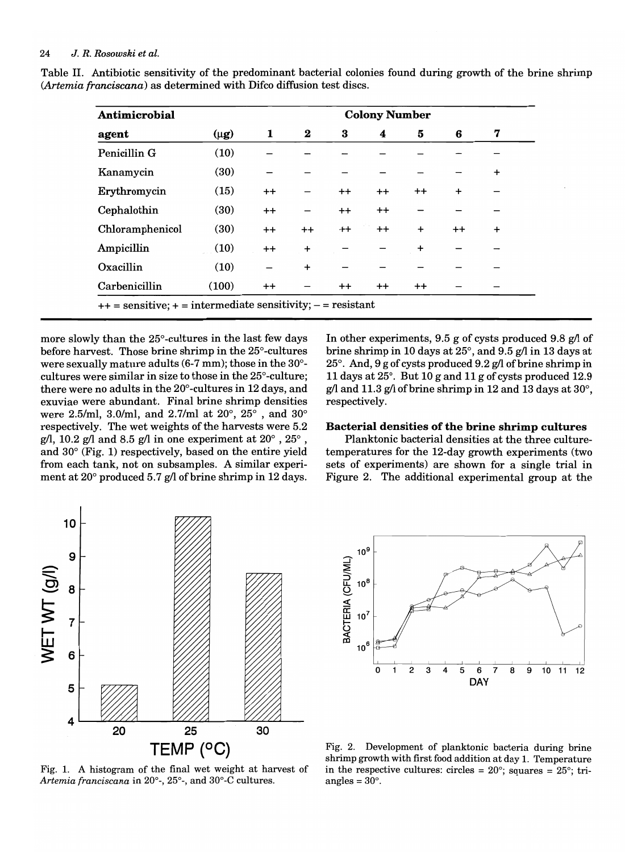| Antimicrobial   | <b>Colony Number</b> |         |           |          |                 |           |           |           |  |  |
|-----------------|----------------------|---------|-----------|----------|-----------------|-----------|-----------|-----------|--|--|
| agent           | $(\mu$ g)            | 1       | $\bf{2}$  | $\bf{3}$ | 4               | 5         | 6         | 7         |  |  |
| Penicillin G    | (10)                 |         |           |          |                 |           |           |           |  |  |
| Kanamycin       | (30)                 |         |           |          |                 |           |           | $\ddot{}$ |  |  |
| Erythromycin    | (15)                 | $++$    |           | $^{++}$  | $++$            | $++$      | $\ddot{}$ |           |  |  |
| Cephalothin     | (30)                 | $^{++}$ |           | $^{++}$  | $^{++}$         |           |           |           |  |  |
| Chloramphenicol | (30)                 | $++$    | $++$      | $^{++}$  | $++$            | $\ddot{}$ | $^{++}$   | $\ddot{}$ |  |  |
| Ampicillin      | (10)                 | $^{++}$ | $\ddot{}$ |          |                 | $\ddot{}$ |           |           |  |  |
| Oxacillin       | (10)                 |         | $\ddot{}$ |          |                 |           |           |           |  |  |
| Carbenicillin   | (100)                | $^{++}$ |           | $^{++}$  | $^{\mathrm{+}}$ | $^{++}$   |           |           |  |  |

Table II. Antibiotic sensitivity of the predominant bacterial colonies found during growth of the brine shrimp *(Artemia franciscana)* as determined with Difco diffusion test discs.

more slowly than the 25°-cultures in the last few days before harvest. Those brine shrimp in the 25°-cultures were sexually mature adults (6-7 mm); those in the 30° cultures were similar in size to those in the 25°-culture; there were no adults in the 20°-cultures in 12 days, and exuviae were abundant. Final brine shrimp densities were 2.5/ml, 3.0/ml, and 2.7/ml at 20°, 25° , and 30° respectively. The wet weights of the harvests were 5.2 g/l, 10.2 g/l and 8.5 g/l in one experiment at  $20^{\circ}$ ,  $25^{\circ}$ , and 30° (Fig. 1) respectively, based on the entire yield from each tank, not on subsamples. A similar experiment at  $20^{\circ}$  produced 5.7 g/l of brine shrimp in 12 days.

In other experiments,  $9.5$  g of cysts produced  $9.8$  g/l of brine shrimp in 10 days at  $25^{\circ}$ , and  $9.5$  g/l in 13 days at 25 $^{\circ}$ . And, 9 g of cysts produced 9.2 g/l of brine shrimp in 11 days at 25°. But 10 g and 11 g of cysts produced 12.9 g/l and 11.3 g/l of brine shrimp in 12 and 13 days at  $30^{\circ}$ , respectively.

## **Bacterial densities of the brine shrimp cultures**

Planktonic bacterial densities at the three culturetemperatures for the 12-day growth experiments (two sets of experiments) are shown for a single trial in Figure 2. The additional experimental group at the







Fig. 2. Development of planktonic bacteria during brine shrimp growth with first food addition at day 1. Temperature in the respective cultures: circles =  $20^{\circ}$ ; squares =  $25^{\circ}$ ; triangles =  $30^\circ$ .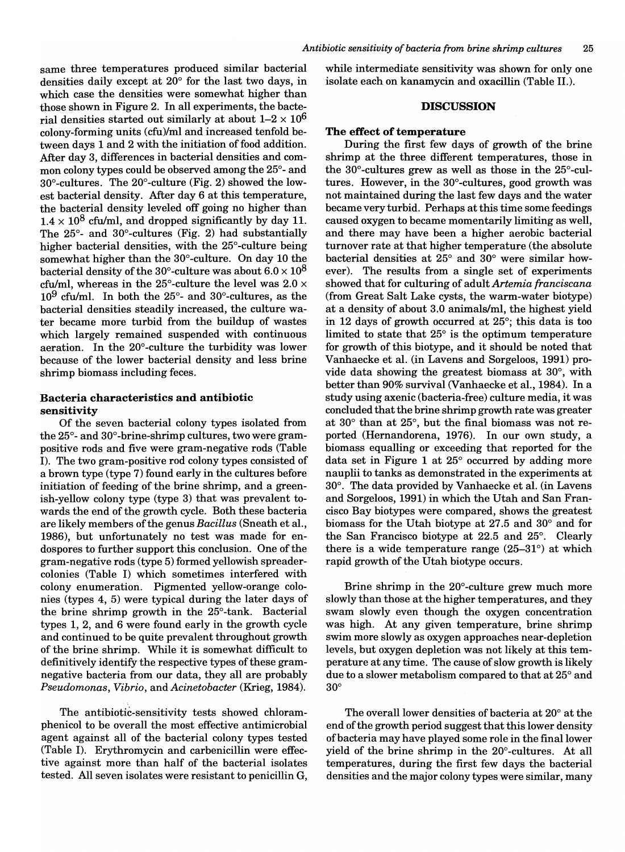same three temperatures produced similar bacterial densities daily except at 20° for the last two days, in which case the densities were somewhat higher than those shown in Figure 2. In all experiments, the bacterial densities started out similarly at about  $1-2 \times 10^6$ colony-forming units (cfu)/ml and increased tenfold between days 1 and 2 with the initiation of food addition. After day 3, differences in bacterial densities and common colony types could be observed among the 25°-and 30°-cultures. The 20°-culture (Fig. 2) showed the lowest bacterial density. After day 6 at this temperature, the bacterial density leveled off going no higher than  $1.4 \times 10^8$  cfu/ml, and dropped significantly by day 11. The 25°- and 30°-cultures (Fig. 2) had substantially higher bacterial densities, with the 25°-culture being somewhat higher than the 30°-culture. On day 10 the bacterial density of the 30°-culture was about  $6.0 \times 10^8$ cfu/ml, whereas in the 25°-culture the level was  $2.0 \times$  $10<sup>9</sup>$  cfu/ml. In both the 25°- and 30°-cultures, as the bacterial densities steadily increased, the culture water became more turbid from the buildup of wastes which largely remained suspended with continuous aeration. In the 20°-culture the turbidity was lower because of the lower bacterial density and less brine shrimp biomass including feces.

## Bacteria characteristics and antibiotic sensitivity

Of the seven bacterial colony types isolated from the  $25^{\circ}$ - and  $30^{\circ}$ -brine-shrimp cultures, two were grampositive rods and five were gram-negative rods (Table I). The two gram-positive rod colony types consisted of a brown type (type 7) found early in the cultures before initiation of feeding of the brine shrimp, and a greenish-yellow colony type (type 3) that was prevalent towards the end of the growth cycle. Both these bacteria are likely members of the genus *Bacillus* (Sneath et al., 1986), but unfortunately no test was made for endospores to further support this conclusion. One of the gram-negative rods (type 5) formed yellowish spreadercolonies (Table I) which sometimes interfered with colony enumeration. Pigmented yellow-orange colonies (types 4, 5) were typical during the later days of the brine shrimp growth in the 25°-tank. Bacterial types 1, 2, and 6 were found early in the growth cycle and continued to be quite prevalent throughout growth of the brine shrimp. While it is somewhat difficult to definitively identify the respective types of these gramnegative bacteria from our data, they all are probably *Pseudomonas, Vibrio,* and *Acinetobacter* (Krieg, 1984).

The antibiotic-sensitivity tests showed chloramphenicol to be overall the most effective antimicrobial agent against all of the bacterial colony types tested (Table I). Erythromycin and carbenicillin were effective against more than half of the bacterial isolates tested. All seven isolates were resistant to penicillin G,

while intermediate sensitivity was shown for only one isolate each on kanamycin and oxacillin (Table 11.).

## **DISCUSSION**

### The effect of temperature

During the first few days of growth of the brine shrimp at the three different temperatures, those in the 30°-cultures grew as well as those in the 25°-cultures. However, in the 30°-cultures, good growth was not maintained during the last few days and the water became very turbid. Perhaps at this time some feedings caused oxygen to became momentarily limiting as well, and there may have been a higher aerobic bacterial turnover rate at that higher temperature (the absolute bacterial densities at 25° and 30° were similar however). The results from a single set of experiments showed that for culturing of adult *Artemia franciscana*  (from Great Salt Lake cysts, the warm-water biotype) at a density of about 3.0 animals/ml, the highest yield in 12 days of growth occurred at 25°; this data is too limited to state that 25° is the optimum temperature for growth of this biotype, and it should be noted that Vanhaecke et al. (in Lavens and Sorgeloos, 1991) provide data showing the greatest biomass at 30°, with better than 90% survival (Vanhaecke et al., 1984). In a study using axenic (bacteria-free) culture media, it was concluded that the brine shrimp growth rate was greater at 30° than at 25°, but the final biomass was not reported (Hernandorena, 1976). In our own study, a biomass equalling or exceeding that reported for the data set in Figure 1 at 25° occurred by adding more nauplii to tanks as demonstrated in the experiments at 30°. The data provided by Vanhaecke et al. (in Lavens and Sorgeloos, 1991) in which the Utah and San Francisco Bay biotypes were compared, shows the greatest biomass for the Utah biotype at 27.5 and 30° and for the San Francisco biotype at 22.5 and 25°. Clearly there is a wide temperature range  $(25-31^{\circ})$  at which rapid growth of the Utah biotype occurs.

Brine shrimp in the 20°-culture grew much more slowly than those at the higher temperatures, and they swam slowly even though the oxygen concentration was high. At any given temperature, brine shrimp swim more slowly as oxygen approaches near-depletion levels, but oxygen depletion was not likely at this temperature at any time. The cause of slow growth is likely due to a slower metabolism compared to that at 25° and 30°

The overall lower densities of bacteria at 20° at the end of the growth period suggest that this lower density of bacteria may have played some role in the final lower yield of the brine shrimp in the 20°-cultures. At all temperatures, during the first few days the bacterial densities and the major colony types were similar, many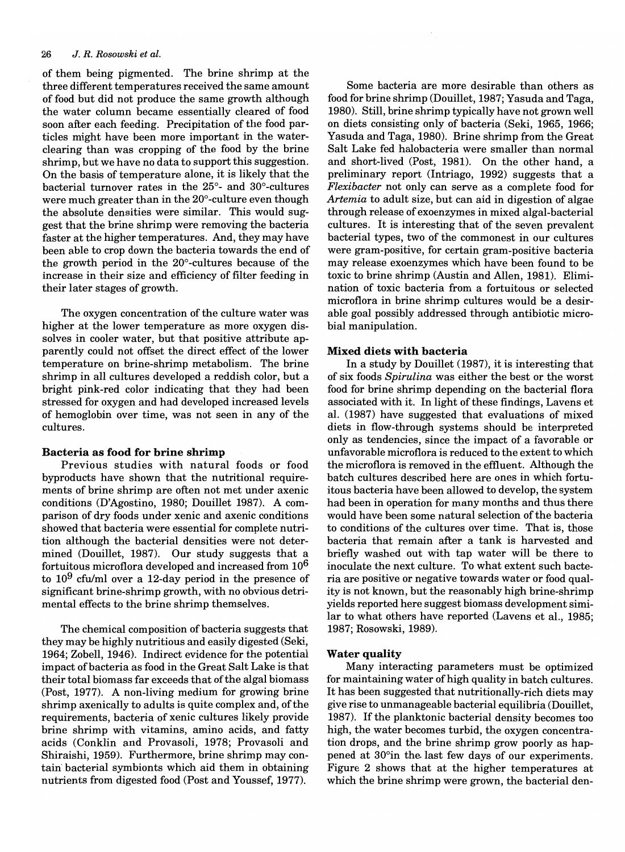## *26* J. *R. Rosowski et ai.*

of them being pigmented. The brine shrimp at the three different temperatures received the same amount of food but did not produce the same growth although the water column became essentially cleared of food soon after each feeding. Precipitation of the food particles might have been more important in the waterclearing than was cropping of the food by the brine shrimp, but we have no data to support this suggestion. On the basis of temperature alone, it is likely that the bacterial turnover rates in the 25°- and 30°-cultures were much greater than in the 20°-culture even though the absolute densities were similar. This would suggest that the brine shrimp were removing the bacteria faster at the higher temperatures. And, they may have been able to crop down the bacteria towards the end of the growth period in the 20°-cultures because of the increase in their size and efficiency of filter feeding in their later stages of growth.

The oxygen concentration of the culture water was higher at the lower temperature as more oxygen dissolves in cooler water, but that positive attribute apparently could not offset the direct effect of the lower temperature on brine-shrimp metabolism. The brine shrimp in all cultures developed a reddish color, but a bright pink-red color indicating that they had been stressed for oxygen and had developed increased levels of hemoglobin over time, was not seen in any of the cultures.

## Bacteria as food for brine shrimp

Previous studies with natural foods or food byproducts have shown that the nutritional requirements of brine shrimp are often not met under axenic conditions (D'Agostino, 1980; Douillet 1987). A comparison of dry foods under xenic and axenic conditions showed that bacteria were essential for complete nutrition although the bacterial densities were not determined (Douillet, 1987). Our study suggests that a fortuitous microflora developed and increased from 106 to  $10^9$  cfu/ml over a 12-day period in the presence of significant brine-shrimp growth, with no obvious detrimental effects to the brine shrimp themselves.

The chemical composition of bacteria suggests that they may be highly nutritious and easily digested (Seki, 1964; Zobell, 1946). Indirect evidence for the potential impact of bacteria as food in the Great Salt Lake is that their total biomass far exceeds that of the algal biomass (Post, 1977). A non-living medium for growing brine shrimp axenically to adults is quite complex and, of the requirements, bacteria of xenic cultures likely provide brine shrimp with vitamins, amino acids, and fatty acids (Conklin and Provasoli, 1978; Provasoli and Shiraishi, 1959). Furthermore, brine shrimp may contain" bacterial symbionts which aid them in obtaining nutrients from digested food (Post and Youssef, 1977).

Some bacteria are more desirable than others as food for brine shrimp (Douillet, 1987; Yasuda and Taga, 1980). Still, brine shrimp typically have not grown well on diets consisting only of bacteria (Seki, 1965, 1966; Yasuda and Taga, 1980). Brine shrimp from the Great Salt Lake fed halobacteria were smaller than normal and short-lived (Post, 1981). On the other hand, a preliminary report (Intriago, 1992) suggests that a *Flexibacter* not only can serve as a complete food for *Artemia* to adult size, but can aid in digestion of algae through release of exoenzymes in mixed algal-bacterial cultures. It is interesting that of the seven prevalent bacterial types, two of the commonest in our cultures were gram-positive, for certain gram-positive bacteria may release exoenzymes which have been found to be toxic to brine shrimp (Austin and Allen, 1981). Elimination of toxic bacteria from a fortuitous or selected microflora in brine shrimp cultures would be a desirable goal possibly addressed through antibiotic microbial manipulation.

## Mixed diets with bacteria

In a study by Douillet (1987), it is interesting that of six foods *Spirulina* was either the best or the worst food for brine shrimp depending on the bacterial flora associated with it. In light of these findings, Lavens et aI. (1987) have suggested that evaluations of mixed diets in flow-through systems should be interpreted only as tendencies, since the impact of a favorable or unfavorable microflora is reduced to the extent to which the microflora is removed in the effluent. Although the batch cultures described here are ones in which fortuitous bacteria have been allowed to develop, the system had been in operation for many months and thus there would have been some natural selection of the bacteria to conditions of the cultures over time. That is, those bacteria that remain after a tank is harvested and briefly washed out with tap water will be there to inoculate the next culture. To what extent such bacteria are positive or negative towards water or food quality is not known, but the reasonably high brine-shrimp yields reported here suggest biomass development similar to what others have reported (Lavens et aI., 1985; 1987; Rosowski, 1989).

## Water quality

Many interacting parameters must be optimized for maintaining water of high quality in batch cultures. It has been suggested that nutritionally-rich diets may give rise to unmanageable bacterial equilibria (Douillet, 1987). If the planktonic bacterial density becomes too high, the water becomes turbid, the oxygen concentration drops, and the brine shrimp grow poorly as happened at 30°in the last few days of our experiments. Figure 2 shows that at the higher temperatures at which the brine shrimp were grown, the bacterial den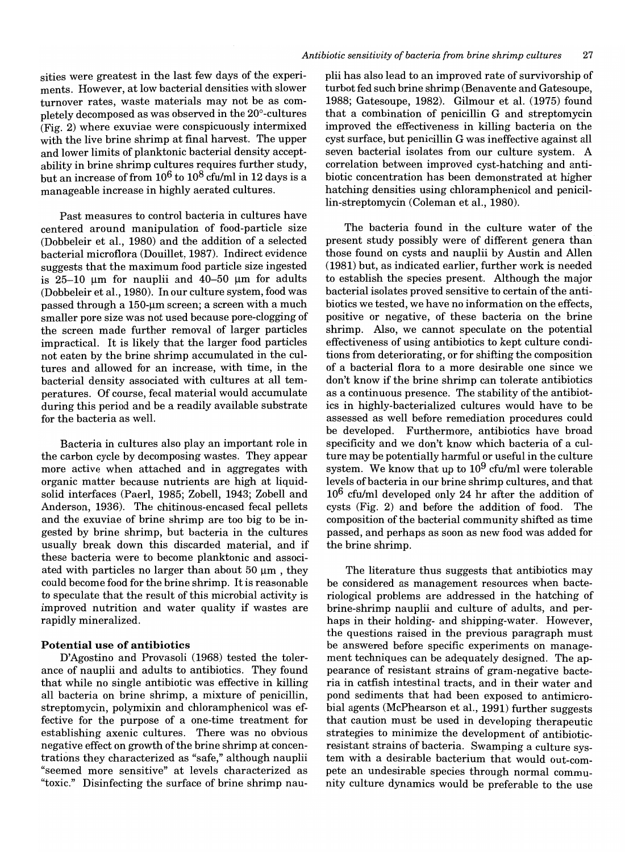sities were greatest in the last few days of the experiments. However, at low bacterial densities with slower turnover rates, waste materials may not be as completely decomposed as was observed in the 20°-cultures (Fig. 2) where exuviae were conspicuously intermixed with the live brine shrimp at final harvest. The upper and lower limits of planktonic bacterial density acceptability in brine shrimp cultures requires further study, but an increase of from  $10^6$  to  $10^8$  cfu/ml in 12 days is a manageable increase in highly aerated cultures.

Past measures to control bacteria in cultures have centered around manipulation of food-particle size (Dobbeleir et aI., 1980) and the addition of a selected bacterial microflora (Douillet, 1987). Indirect evidence suggests that the maximum food particle size ingested is 25-10  $\mu$ m for nauplii and 40-50  $\mu$ m for adults (Dobbeleir et aI., 1980). In our culture system, food was passed through a 150-um screen; a screen with a much smaller pore size was not used because pore-clogging of the screen made further removal of larger particles impractical. It is likely that the larger food particles not eaten by the brine shrimp accumulated in the cultures and allowed for an increase, with time, in the bacterial density associated with cultures at all temperatures. Of course, fecal material would accumulate during this period and be a readily available substrate for the bacteria as well.

Bacteria in cultures also play an important role in the carbon cycle by decomposing wastes. They appear more active when attached and in aggregates with organic matter because nutrients are high at liquidsolid interfaces (Paerl, 1985; Zobell, 1943; Zobell and Anderson, 1936). The chitinous-encased fecal pellets and the exuviae of brine shrimp are too big to be ingested by brine shrimp, but bacteria in the cultures usually break down this discarded material, and if these bacteria were to become planktonic and associated with particles no larger than about  $50 \mu m$ , they could become food for the brine shrimp. It is reasonable to speculate that the result of this microbial activity is improved nutrition and water quality if wastes are rapidly mineralized.

## **Potential use of antibiotics**

D'Agostino and Provasoli (1968) tested the tolerance of nauplii and adults to antibiotics. They found that while no single antibiotic was effective in killing all bacteria on brine shrimp, a mixture of penicillin, streptomycin, polymixin and chloramphenicol was effective for the purpose of a one-time treatment for establishing axenic cultures. There was no obvious negative effect on growth of the brine shrimp at concentrations they characterized as "safe," although nauplii "seemed more sensitive" at levels characterized as "toxic." Disinfecting the surface of brine shrimp nauplii has also lead to an improved rate of survivorship of turbot fed such brine shrimp (Benavente and Gatesoupe, 1988; Gatesoupe, 1982). Gilmour et aI. (1975) found that a combination of penicillin G and streptomycin improved the effectiveness in killing bacteria on the cyst surface, but penicillin G was ineffective against all seven bacterial isolates from our culture system. A correlation between improved cyst-hatching and antibiotic concentration has been demonstrated at higher hatching densities using chloramphenicol and penicillin-streptomycin (Coleman et aI., 1980).

The bacteria found in the culture water of the present study possibly were of different genera than those found on cysts and nauplii by Austin and Allen (1981) but, as indicated earlier, further work is needed to establish the species present. Although the major bacterial isolates proved sensitive to certain of the antibiotics we tested, we have no information on the effects, positive or negative, of these bacteria on the brine shrimp. Also, we cannot speculate on the potential effectiveness of using antibiotics to kept culture conditions from deteriorating, or for shifting the composition of a bacterial flora to a more desirable one since we don't know if the brine shrimp can tolerate antibiotics as a continuous presence. The stability of the antibiotics in highly-bacterialized cultures would have to be assessed as well before remediation procedures could be developed. Furthermore, antibiotics have broad specificity and we don't know which bacteria of a culture may be potentially harmful or useful in the culture system. We know that up to  $10^9$  cfu/ml were tolerable levels of bacteria in our brine shrimp cultures, and that 106 cfu/ml developed only 24 hr after the addition of cysts (Fig. 2) and before the addition of food. The composition of the bacterial community shifted as time passed, and perhaps as soon as new food was added for the brine shrimp.

The literature thus suggests that antibiotics may be considered as management resources when bacteriological problems are addressed in the hatching of brine-shrimp nauplii and culture of adults, and perhaps in their holding- and shipping-water. However, the questions raised in the previous paragraph must be answered before specific experiments on management techniques can be adequately designed. The appearance of resistant strains of gram-negative bacteria in catfish intestinal tracts, and in their water and pond sediments that had been exposed to antimicrobial agents (McPhearson et aI., 1991) further suggests that caution must be used in developing therapeutic strategies to minimize the development of antibioticresistant strains of bacteria. Swamping a culture system with a desirable bacterium that would out-compete an undesirable species through normal community culture dynamics would be preferable to the use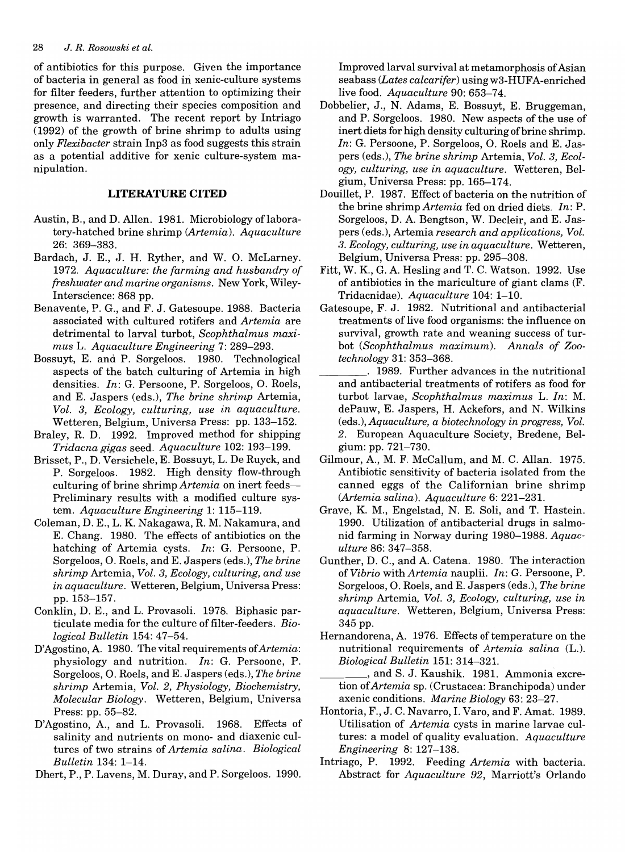of antibiotics for this purpose. Given the importance of bacteria in general as food in xenic-culture systems for filter feeders, further attention to optimizing their presence, and directing their species composition and growth is warranted. The recent report by Intriago (1992) of the growth of brine shrimp to adults using only *Flexibacter* strain Inp3 as food suggests this strain as a potential additive for xenic culture-system manipulation.

## **LITERATURE CITED**

- Austin, B., and D. Allen. 1981. Microbiology of laboratory-hatched brine shrimp *(Artemia). Aquaculture*  26: 369-383.
- Bardach, J. E., J. H. Ryther, and W. O. McLarney. *1972. Aquaculture: the farming and husbandry of freshwater and marine organisms.* New York, Wiley-Interscience: 868 pp.
- Benavente, P. G., and F. J. Gatesoupe. 1988. Bacteria associated with cultured rotifers and *Artemia* are detrimental to larval turbot, *Scophthalmus maximus* L. *Aquaculture Engineering* 7: 289-293.
- Bossuyt, E. and P. Sorgeloos. 1980. Technological aspects of the batch culturing of Artemia in high densities. *In:* G. Persoone, P. Sorgeloos, O. Roels, and E. Jaspers (eds.), *The brine shrimp* Artemia, *Vol.* 3, *Ecology, culturing, use in aquaculture.*  Wetteren, Belgium, Universa Press: pp. 133-152.
- Braley, R. D. 1992. Improved method for shipping *Tridacna gigas* seed. *Aquaculture* 102: 193-199.
- Brisset, P., D. Versichele, E. Bossuyt, L. De Ruyck, and P. Sorgeloos. 1982. High density flow-through culturing of brine shrimp *Artemia* on inert feeds-Preliminary results with a modified culture system. *Aquaculture Engineering* 1: 115-119.
- Coleman, D. E., L. K Nakagawa, R. M. Nakamura, and E. Chang. 1980. The effects of antibiotics on the hatching of Artemia cysts. *In:* G. Persoone, P. Sorgeloos, O. Roels, and E. Jaspers (eds.), *The brine shrimp* Artemia, *Vol.* 3, *Ecology, culturing, and use in aquaculture.* Wetteren, Belgium, Universa Press: pp. 153-157.
- Conklin, D. E., and L. Provasoli. 1978. Biphasic particulate media for the culture of filter-feeders. *Biological Bulletin* 154: 47-54.
- D'Agostino, A. 1980. The vital requirements of *Artemia*: physiology and nutrition. *In:* G. Persoone, P. Sorgeloos, O. Roels, and E. Jaspers (eds.), *The brine shrimp* Artemia, *Vol.* 2, *Physiology, Biochemistry, Molecular Biology.* Wetteren, Belgium, Universa Press: pp. 55-82.
- D'Agostino, A, and L. Provasoli. 1968. Effects of salinity and nutrients on mono- and diaxenic cultures of two strains of *Artemia salina. Biological Bulletin* 134: 1-14.
- Dhert, P., P. Lavens, M. Duray, and P. Sorgeloos. 1990.

Improved larval survival at metamorphosis of Asian seabass (Lates calcarifer) using w3-HUFA-enriched live food. *Aquaculture* 90: 653-74.

- Dobbelier, J., N. Adams, E. Bossuyt, E. Bruggeman, and P. Sorgeloos. 1980. New aspects of the use of inert diets for high density culturing of brine shrimp. In: G. Persoone, P. Sorgeloos, O. Roels and E. Jaspers (eds.), *The brine shrimp* Artemia, *Vol.* 3, *Ecology, culturing, use in aquaculture.* Wetteren, Belgium, Universa Press: pp. 165-174.
- Douillet, P. 1987. Effect of bacteria on the nutrition of the brine shrimp *Artemia* fed on dried diets. *In:* P. Sorgeloos, D. A. Bengtson, W. Decleir, and E. Jaspers (eds.), Artemia *research and applications, Vol. 3. Ecology, culturing, use in aquaculture.* Wetteren, Belgium, Universa Press: pp. 295-308.
- Fitt, W. K, G. A Hesling and T. C. Watson. 1992. Use of antibiotics in the mariculture of giant clams (F. Tridacnidae). *Aquaculture* 104: 1-10.
- Gatesoupe, F. J. 1982. Nutritional and antibacterial treatments of live food organisms: the influence on survival, growth rate and weaning success of turbot *(Scophthalmus maximum). Annals of Zootechnology* 31: 353-368.
- \_\_\_\_ . 1989. Further advances in the nutritional and antibacterial treatments of rotifers as food for turbot larvae, *Scophthalmus maximus* L. In: M. dePauw, E. Jaspers, H. Ackefors, and N. Wilkins (eds.), *Aquaculture, a biotechnology in progress, Vol.*  2. European Aquaculture Society, Bredene, Belgium: pp. 721-730.
- Gilmour, A, M. F. McCallum, and M. C. Allan. 1975. Antibiotic sensitivity of bacteria isolated from the canned eggs of the Californian brine shrimp *(Artemia salina). Aquaculture* 6: 221-231.
- Grave, K M., Engelstad, N. E. Soli, and T. Hastein. 1990. Utilization of antibacterial drugs in salmonid farming in Norway during 1980-1988. *Aquaculture* 86: 347-358.
- Gunther, D. C., and A. Catena. 1980. The interaction of *Vibrio* with *Artemia* nauplii. *In:* G. Persoone, P. Sorgeloos, O. Roels, and E. Jaspers (eds.), *The brine shrimp* Artemia, *Vol.* 3, *Ecology, culturing, use in aquaculture.* Wetteren, Belgium, Universa Press: 345 pp.
- Hernandorena, A. 1976. Effects of temperature on the nutritional requirements of *Artemia salina* (L.). *Biological Bulletin* 151: 314-321.
- \_\_\_\_ , and S. J. Kaushik. 1981. Ammonia excretion *ofArtemia* sp. (Crustacea: Branchipoda) under axenic conditions. *Marine Biology* 63: 23-27.
- Hontoria, F., J. C. Navarro, 1. Varo, and F. Amat. 1989. Utilisation of *Artemia* cysts in marine larvae cultures: a model of quality evaluation. *Aquaculture Engineering* 8: 127-138.
- Intriago, P. 1992. Feeding *Artemia* with bacteria. Abstract for *Aquaculture* 92, Marriott's Orlando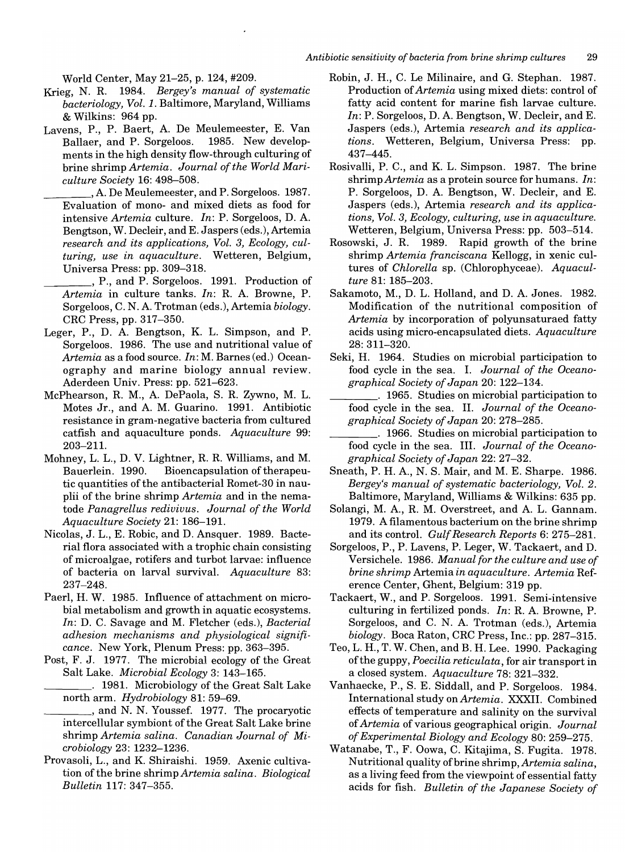World Center, May 21-25, p. 124, #209.

- Krieg, N. R. 1984. *Bergey's manual of systematic bacteriology, Vol.* 1. Baltimore, Maryland, Williams & Wilkins: 964 pp.
- Lavens, P., P. Baert, A De Meulemeester, E. Van Ballaer, and P. Sorgeloos. 1985. New developments in the high density flow-through culturing of brine shrimp *Artemia. Journal of the World Mariculture Society* 16: 498-508.
- , A. De Meulemeester, and P. Sorgeloos. 1987. Evaluation of mono- and mixed diets as food for intensive *Artemia* culture. *In:* P. Sorgeloos, D. A Bengtson, W. Decleir, and E. Jaspers (eds.), Artemia *research and its applications, Vol.* 3, *Ecology, culturing, use in aquaculture.* Wetteren, Belgium, Universa Press: pp. 309-318.
- \_\_\_\_ , P., and P. Sorgeloos. 1991. Production of Artemia in culture tanks. *In*: R. A. Browne, P. Sorgeloos, C. N. A Trotman (eds.), Artemia *biology.*  CRC Press, pp. 317-350.
- Leger, P., D. A. Bengtson, K. L. Simpson, and P. Sorgeloos. 1986. The use and nutritional value of *Artemia* as a food source. *In:* M. Barnes (ed.) Oceanography and marine biology annual review. Aderdeen Univ. Press: pp. 521-623.
- McPhearson, R. M., A DePaola, S. R. Zywno, M. L. Motes Jr., and A. M. Guarino. 1991. Antibiotic resistance in gram-negative bacteria from cultured catfish and aquaculture ponds. *Aquaculture 99:*  203-211.
- Mohney, L. L., D. V. Lightner, R. R. Williams, and M. Bauerlein. 1990. Bioencapsulation of the rapeutic quantities of the antibacterial Romet-30 in nauplii of the brine shrimp *Artemia* and in the nematode *Panagrellus rediuiuus. Journal of the World Aquaculture Society* 21: 186-191.
- Nicolas, J. L., E. Robic, and D. Ansquer. 1989. Bacterial flora associated with a trophic chain consisting of microalgae, rotifers and turbot larvae: influence of bacteria on larval survival. *Aquaculture* 83: 237-248.
- Paerl, H. W. 1985. Influence of attachment on microbial metabolism and growth in aquatic ecosystems. *In:* D. C. Savage and M. Fletcher (eds.), *Bacterial adhesion mechanisms and physiological significance.* New York, Plenum Press: pp. 363-395.
- Post, F. J. 1977. The microbial ecology of the Great Salt Lake. *Microbial Ecology* 3: 143-165.
	- \_\_\_\_ . 1981. Microbiology of the Great Salt Lake north arm. *Hydrobiology* 81: 59-69.
- \_\_\_\_ , and N. N. Youssef. 1977. The procaryotic intercellular symbiont of the Great Salt Lake brine shrimp *Artemia salina. Canadian Journal of Mic.robiology* 23: 1232-1236.
- Provasoli, L., and K. Shiraishi. 1959. Axenic cultivation of the brine shrimp *Artemia salina. Biological Bulletin* 117: 347-355.
- Robin, J. H., C. Le Milinaire, and G. Stephan. 1987. Production of *Artemia* using mixed diets: control of fatty acid content for marine fish larvae culture. In: P. Sorgeloos, D. A. Bengtson, W. Decleir, and E. Jaspers (eds.), Artemia *research and its applications.* Wetteren, Belgium, Universa Press: pp. 437-445.
- Rosivalli, P. C., and K. L. Simpson. 1987. The brine shrimp *Artemia* as a protein source for humans. *In:*  P. Sorgeloos, D. A. Bengtson, W. Decleir, and E. Jaspers (eds.), Artemia *research and its applications, Vol.* 3, *Ecology, culturing, use in aquaculture.*  Wetteren, Belgium, Universa Press: pp. 503-514.
- Rosowski, J. R. 1989. Rapid growth of the brine shrimp *Artemia franciscana* Kellogg, in xenic cultures of *Chlorella* sp. (Chlorophyceae). *Aquaculture* 81: 185-203.
- Sakamoto, M., D. L. Holland, and D. A. Jones. 1982. Modification of the nutritional composition of *Artemia* by incorporation of polyunsaturaed fatty acids using micro-encapsulated diets. *Aquaculture*  28: 311-320.
- Seki, H. 1964. Studies on microbial participation to food cycle in the sea. I. *Journal of the Oceanographical Society of Japan* 20: 122-134.
- \_\_\_\_ . 1965. Studies on microbial participation to food cycle in the sea. II. *Journal of the Oceanographical Society of Japan* 20: 278-285.

\_\_\_\_ . 1966. Studies on microbial participation to food cycle in the sea. III. *Journal of the Oceanographical Society of Japan* 22: 27-32.

- Sneath, P. H. A, N. S. Mair, and M. E. Sharpe. 1986. *Bergey's manual of systematic bacteriology, Vol. 2.*  Baltimore, Maryland, Williams & Wilkins: 635 pp.
- Solangi, M. A., R. M. Overstreet, and A. L. Gannam. 1979. A filamentous bacterium on the brine shrimp and its control. *Gulf Research Reports* 6: 275-281.
- Sorgeloos, P., P. Lavens, P. Leger, W. Tackaert, and D. Versichele. 1986. *Manual for the culture and use of brine shrimp* Artemia *in aquaculture. Artemia* Reference Center, Ghent, Belgium: 319 pp.
- Tackaert, W., and P. Sorgeloos. 1991. Semi-intensive culturing in fertilized ponds. *In:* R. A Browne, P. Sorgeloos, and C. N. A Trotman (eds.), Artemia *biology.* Boca Raton, CRC Press, Inc.: pp. 287-315.
- Teo, L. H., T. W. Chen, and B. H. Lee. 1990. Packaging ofthe guppy, *Poecilia reticulata,* for air transport in a closed system. *Aquaculture* 78: 321-332.
- Vanhaecke, P., S. E. Siddall, and P. Sorgeloos. 1984. International study on *Artemia.* XXXII. Combined effects of temperature and salinity on the survival of *Artemia* of various geographical origin. *Journal of Experimental Biology and Ecology* 80: 259-275.
- Watanabe, T., F. Oowa, C. Kitajima, S. Fugita. 1978. Nutritional quality of brine shrimp, *Artemia salina,*  as a living feed from the viewpoint of essential fatty acids for fish. *Bulletin of the Japanese Society of*